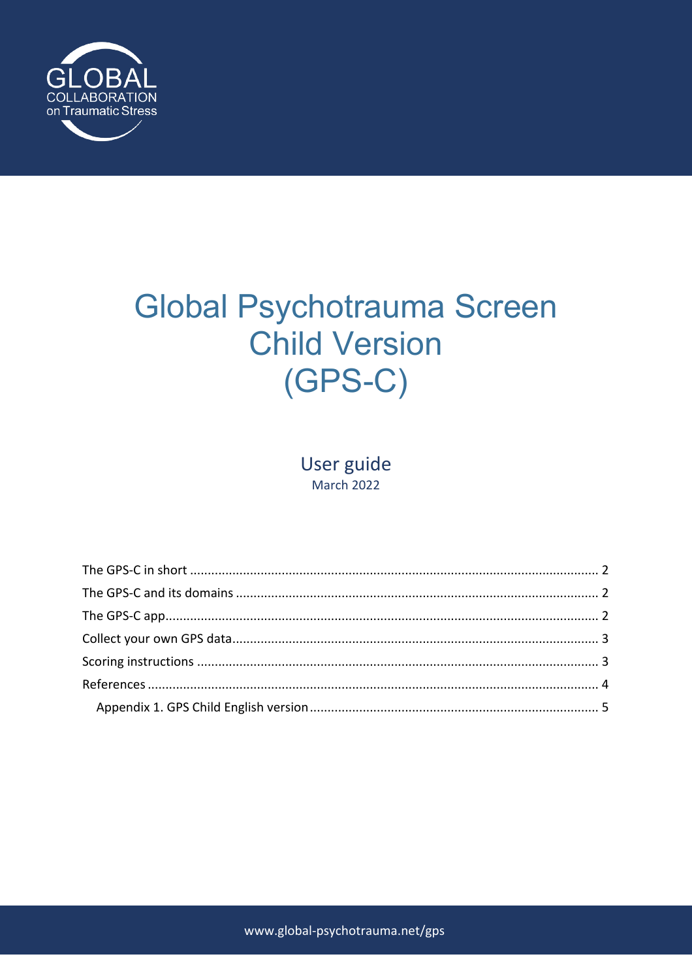

# **Global Psychotrauma Screen Child Version**  $(GPS-C)$

User guide **March 2022**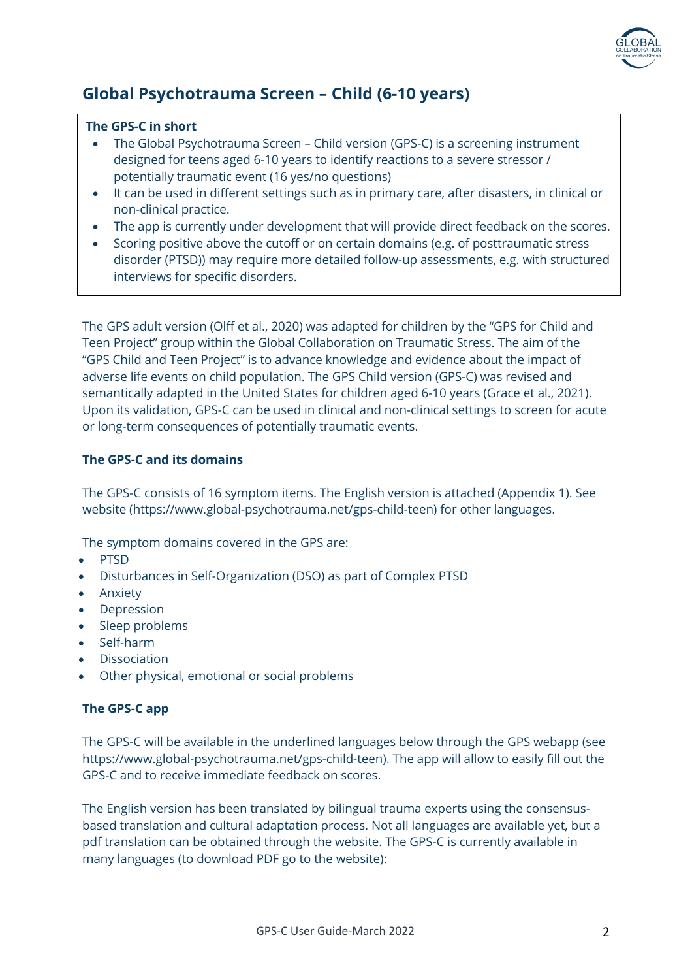

# **Global Psychotrauma Screen – Child (6-10 years)**

#### **The GPS-C in short**

- The Global Psychotrauma Screen Child version (GPS-C) is a screening instrument designed for teens aged 6-10 years to identify reactions to a severe stressor / potentially traumatic event (16 yes/no questions)
- It can be used in different settings such as in primary care, after disasters, in clinical or non-clinical practice.
- The app is currently under development that will provide direct feedback on the scores.
- Scoring positive above the cutoff or on certain domains (e.g. of posttraumatic stress disorder (PTSD)) may require more detailed follow-up assessments, e.g. with structured interviews for specific disorders.

The GPS adult version (Olff et al., 2020) was adapted for children by the "GPS for Child and Teen Project" group within the Global Collaboration on Traumatic Stress. The aim of the "GPS Child and Teen Project" is to advance knowledge and evidence about the impact of adverse life events on child population. The GPS Child version (GPS-C) was revised and semantically adapted in the United States for children aged 6-10 years (Grace et al., 2021). Upon its validation, GPS-C can be used in clinical and non-clinical settings to screen for acute or long-term consequences of potentially traumatic events.

## **The GPS-C and its domains**

The GPS-C consists of 16 symptom items. The English version is attached (Appendix 1). See website (https://www.global-psychotrauma.net/gps-child-teen) for other languages.

The symptom domains covered in the GPS are:

- PTSD
- Disturbances in Self-Organization (DSO) as part of Complex PTSD
- Anxiety
- Depression
- Sleep problems
- Self-harm
- Dissociation
- Other physical, emotional or social problems

#### **The GPS-C app**

The GPS-C will be available in the underlined languages below through the GPS webapp (see https://www.global-psychotrauma.net/gps-child-teen). The app will allow to easily fill out the GPS-C and to receive immediate feedback on scores.

The English version has been translated by bilingual trauma experts using the consensusbased translation and cultural adaptation process. Not all languages are available yet, but a pdf translation can be obtained through the website. The GPS-C is currently available in many languages (to download PDF go to the website):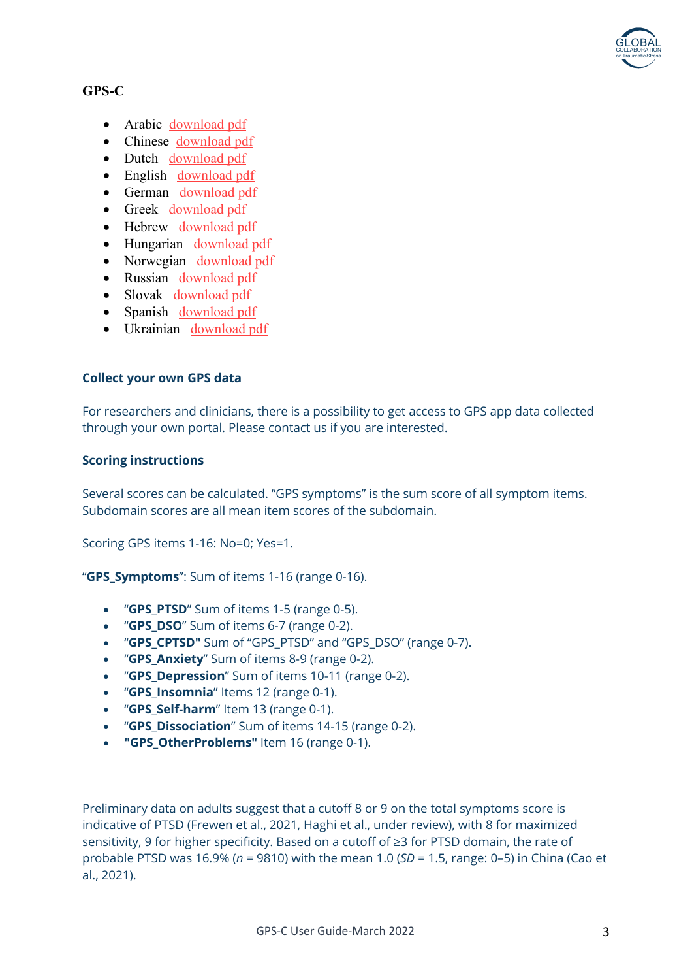

# **GPS-C**

- Arabic download pdf
- Chinese download pdf
- Dutch download pdf
- English download pdf
- German download pdf
- Greek download pdf
- Hebrew download pdf
- Hungarian download pdf
- Norwegian download pdf
- Russian download pdf
- Slovak download pdf
- Spanish download pdf
- Ukrainian download pdf

## **Collect your own GPS data**

For researchers and clinicians, there is a possibility to get access to GPS app data collected through your own portal. Please contact us if you are interested.

#### **Scoring instructions**

Several scores can be calculated. "GPS symptoms" is the sum score of all symptom items. Subdomain scores are all mean item scores of the subdomain.

Scoring GPS items 1-16: No=0; Yes=1.

"**GPS\_Symptoms**": Sum of items 1-16 (range 0-16).

- "**GPS\_PTSD**" Sum of items 1-5 (range 0-5).
- "**GPS\_DSO**" Sum of items 6-7 (range 0-2).
- "**GPS\_CPTSD"** Sum of "GPS\_PTSD" and "GPS\_DSO" (range 0-7).
- "**GPS\_Anxiety**" Sum of items 8-9 (range 0-2).
- "**GPS\_Depression**" Sum of items 10-11 (range 0-2).
- "**GPS\_Insomnia**" Items 12 (range 0-1).
- "**GPS\_Self-harm**" Item 13 (range 0-1).
- "**GPS\_Dissociation**" Sum of items 14-15 (range 0-2).
- **"GPS\_OtherProblems"** Item 16 (range 0-1).

Preliminary data on adults suggest that a cutoff 8 or 9 on the total symptoms score is indicative of PTSD (Frewen et al., 2021, Haghi et al., under review), with 8 for maximized sensitivity, 9 for higher specificity. Based on a cutoff of ≥3 for PTSD domain, the rate of probable PTSD was 16.9% (*n* = 9810) with the mean 1.0 (*SD* = 1.5, range: 0–5) in China (Cao et al., 2021).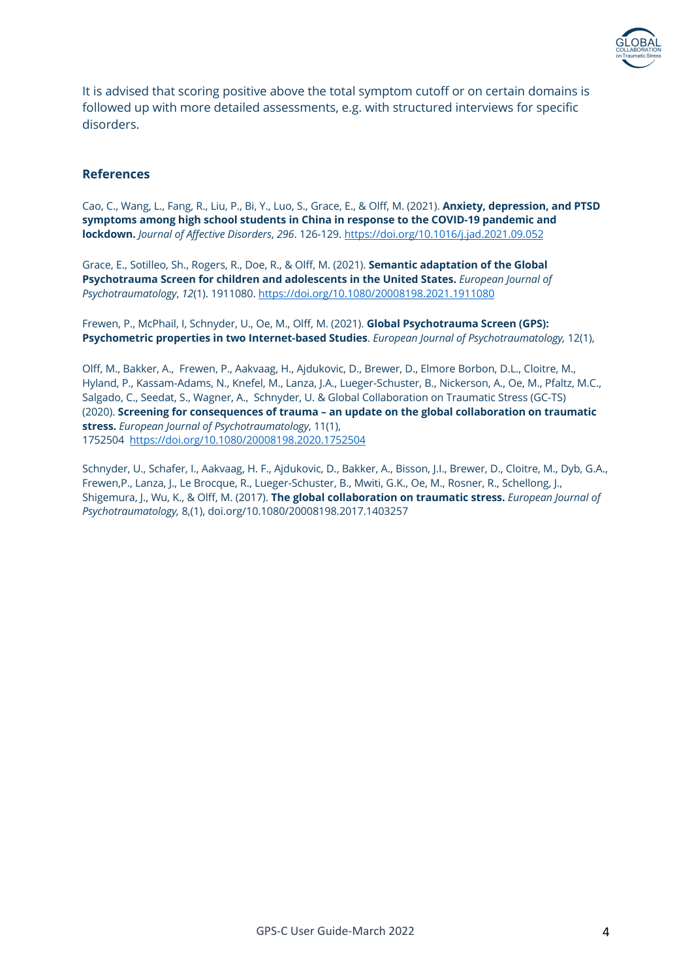

It is advised that scoring positive above the total symptom cutoff or on certain domains is followed up with more detailed assessments, e.g. with structured interviews for specific disorders.

#### **References**

Cao, C., Wang, L., Fang, R., Liu, P., Bi, Y., Luo, S., Grace, E., & Olff, M. (2021). **Anxiety, depression, and PTSD symptoms among high school students in China in response to the COVID-19 pandemic and lockdown.** *Journal of Affective Disorders*, *296*. 126-129. https://doi.org/10.1016/j.jad.2021.09.052

Grace, E., Sotilleo, Sh., Rogers, R., Doe, R., & Olff, M. (2021). **Semantic adaptation of the Global Psychotrauma Screen for children and adolescents in the United States.** *European Journal of Psychotraumatology*, *12*(1). 1911080. https://doi.org/10.1080/20008198.2021.1911080

Frewen, P., McPhail, I, Schnyder, U., Oe, M., Olff, M. (2021). **Global Psychotrauma Screen (GPS): Psychometric properties in two Internet-based Studies**. *European Journal of Psychotraumatology,* 12(1),

Olff, M., Bakker, A., Frewen, P., Aakvaag, H., Ajdukovic, D., Brewer, D., Elmore Borbon, D.L., Cloitre, M., Hyland, P., Kassam-Adams, N., Knefel, M., Lanza, J.A., Lueger-Schuster, B., Nickerson, A., Oe, M., Pfaltz, M.C., Salgado, C., Seedat, S., Wagner, A., Schnyder, U. & Global Collaboration on Traumatic Stress (GC-TS) (2020). **Screening for consequences of trauma – an update on the global collaboration on traumatic stress.** *European Journal of Psychotraumatology*, 11(1), 1752504 https://doi.org/10.1080/20008198.2020.1752504

Schnyder, U., Schafer, I., Aakvaag, H. F., Ajdukovic, D., Bakker, A., Bisson, J.I., Brewer, D., Cloitre, M., Dyb, G.A., Frewen,P., Lanza, J., Le Brocque, R., Lueger-Schuster, B., Mwiti, G.K., Oe, M., Rosner, R., Schellong, J., Shigemura, J., Wu, K., & Olff, M. (2017). **The global collaboration on traumatic stress.** *European Journal of Psychotraumatology,* 8,(1), doi.org/10.1080/20008198.2017.1403257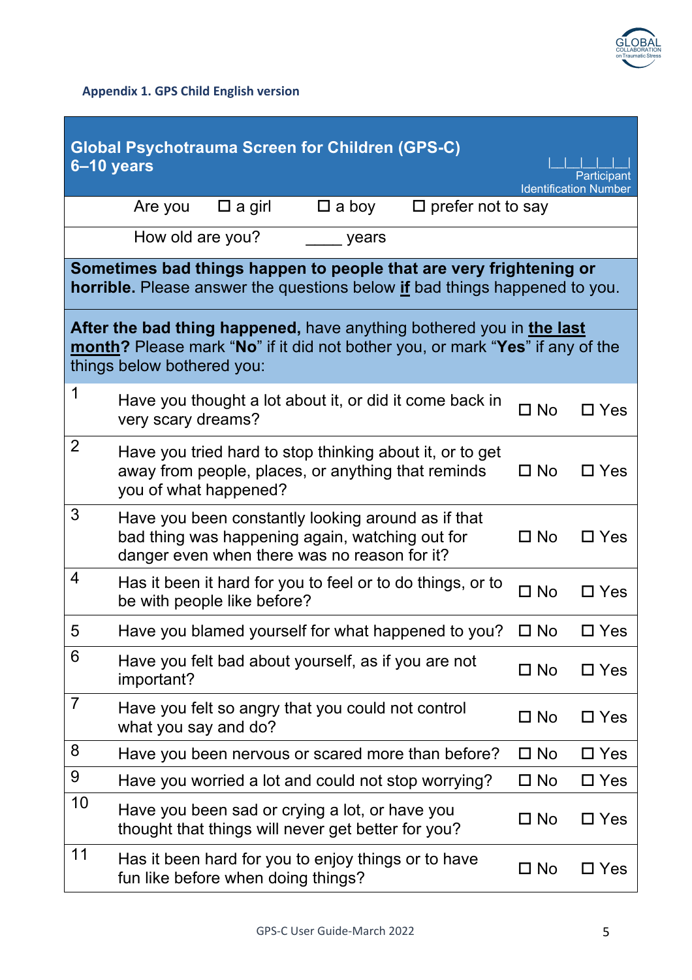

**Appendix 1. GPS Child English version**

| <b>Global Psychotrauma Screen for Children (GPS-C)</b><br>6-10 years<br>Participant<br><b>Identification Number</b>                                                                 |                                                                                                                                                       |              |               |  |  |  |  |
|-------------------------------------------------------------------------------------------------------------------------------------------------------------------------------------|-------------------------------------------------------------------------------------------------------------------------------------------------------|--------------|---------------|--|--|--|--|
|                                                                                                                                                                                     | $\square$ prefer not to say<br>$\square$ a girl<br>$\square$ a boy<br>Are you                                                                         |              |               |  |  |  |  |
|                                                                                                                                                                                     | How old are you?<br>years                                                                                                                             |              |               |  |  |  |  |
| Sometimes bad things happen to people that are very frightening or<br><b>horrible.</b> Please answer the questions below if bad things happened to you.                             |                                                                                                                                                       |              |               |  |  |  |  |
| After the bad thing happened, have anything bothered you in the last<br>month? Please mark "No" if it did not bother you, or mark "Yes" if any of the<br>things below bothered you: |                                                                                                                                                       |              |               |  |  |  |  |
| 1                                                                                                                                                                                   | Have you thought a lot about it, or did it come back in<br>very scary dreams?                                                                         | $\Box$ No    | $\Box$ Yes    |  |  |  |  |
| $\overline{2}$                                                                                                                                                                      | Have you tried hard to stop thinking about it, or to get<br>away from people, places, or anything that reminds<br>you of what happened?               | $\square$ No | $\Box$ Yes    |  |  |  |  |
| 3                                                                                                                                                                                   | Have you been constantly looking around as if that<br>bad thing was happening again, watching out for<br>danger even when there was no reason for it? | $\square$ No | $\Box$ Yes    |  |  |  |  |
| 4                                                                                                                                                                                   | Has it been it hard for you to feel or to do things, or to<br>be with people like before?                                                             | $\Box$ No    | $\Box$ Yes    |  |  |  |  |
| 5                                                                                                                                                                                   | Have you blamed yourself for what happened to you?                                                                                                    | $\square$ No | $\square$ Yes |  |  |  |  |
| 6                                                                                                                                                                                   | Have you felt bad about yourself, as if you are not<br>important?                                                                                     | $\square$ No | $\Box$ Yes    |  |  |  |  |
| $\overline{7}$                                                                                                                                                                      | Have you felt so angry that you could not control<br>what you say and do?                                                                             | $\square$ No | $\Box$ Yes    |  |  |  |  |
| 8                                                                                                                                                                                   | Have you been nervous or scared more than before?                                                                                                     | $\square$ No | $\Box$ Yes    |  |  |  |  |
| 9                                                                                                                                                                                   | Have you worried a lot and could not stop worrying?                                                                                                   | $\Box$ No    | $\square$ Yes |  |  |  |  |
| 10                                                                                                                                                                                  | Have you been sad or crying a lot, or have you<br>thought that things will never get better for you?                                                  | $\square$ No | $\Box$ Yes    |  |  |  |  |
| 11                                                                                                                                                                                  | Has it been hard for you to enjoy things or to have<br>fun like before when doing things?                                                             | $\square$ No | $\square$ Yes |  |  |  |  |